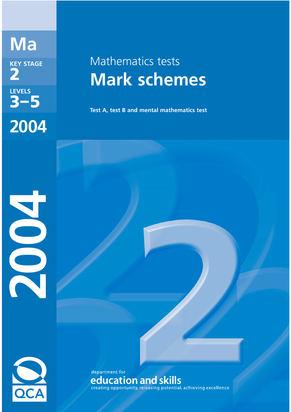**Ma KEY STAGE 2 LEVELS 3–5 2004**

# Mathematics tests **Mark schemes**

**Test A, test B and mental mathematics test**



2004

department for education and skills<br>creating opportunity, releasing potential, achieving excellence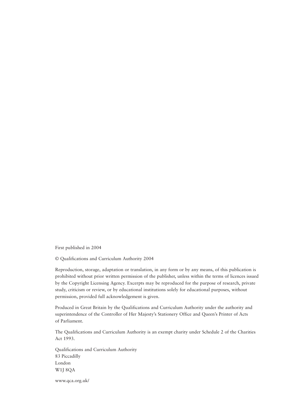First published in 2004

© Qualifications and Curriculum Authority 2004

Reproduction, storage, adaptation or translation, in any form or by any means, of this publication is prohibited without prior written permission of the publisher, unless within the terms of licences issued by the Copyright Licensing Agency. Excerpts may be reproduced for the purpose of research, private study, criticism or review, or by educational institutions solely for educational purposes, without permission, provided full acknowledgement is given.

Produced in Great Britain by the Qualifications and Curriculum Authority under the authority and superintendence of the Controller of Her Majesty's Stationery Office and Queen's Printer of Acts of Parliament.

The Qualifications and Curriculum Authority is an exempt charity under Schedule 2 of the Charities Act 1993.

Qualifications and Curriculum Authority 83 Piccadilly London W1J 8QA

www.qca.org.uk/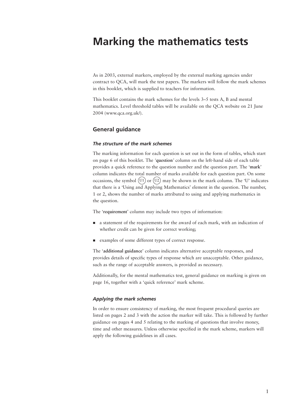## **Marking the mathematics tests**

As in 2003, external markers, employed by the external marking agencies under contract to QCA, will mark the test papers. The markers will follow the mark schemes in this booklet, which is supplied to teachers for information.

This booklet contains the mark schemes for the levels 3–5 tests A, B and mental mathematics. Level threshold tables will be available on the QCA website on 21 June 2004 (www.qca.org.uk/).

#### **General guidance**

#### *The structure of the mark schemes*

The marking information for each question is set out in the form of tables, which start on page 6 of this booklet. The *'***question***'* column on the left-hand side of each table provides a quick reference to the question number and the question part. The '**mark**' column indicates the total number of marks available for each question part. On some occasions, the symbol (U1) or (U2) may be shown in the mark column. The 'U' indicates that there is a 'Using and Applying Mathematics' element in the question. The number, 1 or 2, shows the number of marks attributed to using and applying mathematics in the question.

The '**requirement**' column may include two types of information:

- a statement of the requirements for the award of each mark, with an indication of whether credit can be given for correct working:
- examples of some different types of correct response.

The '**additional guidance**' column indicates alternative acceptable responses, and provides details of specific types of response which are unacceptable. Other guidance, such as the range of acceptable answers, is provided as necessary.

Additionally, for the mental mathematics test, general guidance on marking is given on page 16, together with a 'quick reference' mark scheme.

#### *Applying the mark schemes*

In order to ensure consistency of marking, the most frequent procedural queries are listed on pages 2 and 3 with the action the marker will take. This is followed by further guidance on pages 4 and 5 relating to the marking of questions that involve money, time and other measures. Unless otherwise specified in the mark scheme, markers will apply the following guidelines in all cases.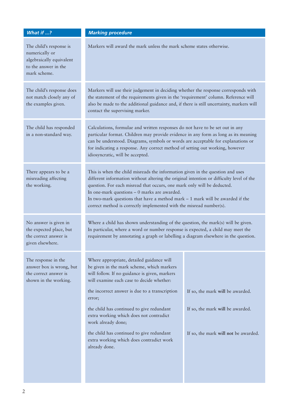| What if ?                                                                                                     | <b>Marking procedure</b>                                                                                                                                                                                                                                                                                                                                                                                                                                        |                                      |  |
|---------------------------------------------------------------------------------------------------------------|-----------------------------------------------------------------------------------------------------------------------------------------------------------------------------------------------------------------------------------------------------------------------------------------------------------------------------------------------------------------------------------------------------------------------------------------------------------------|--------------------------------------|--|
| The child's response is<br>numerically or<br>algebraically equivalent<br>to the answer in the<br>mark scheme. | Markers will award the mark unless the mark scheme states otherwise.                                                                                                                                                                                                                                                                                                                                                                                            |                                      |  |
| The child's response does<br>not match closely any of<br>the examples given.                                  | Markers will use their judgement in deciding whether the response corresponds with<br>the statement of the requirements given in the 'requirement' column. Reference will<br>also be made to the additional guidance and, if there is still uncertainty, markers will<br>contact the supervising marker.                                                                                                                                                        |                                      |  |
| The child has responded<br>in a non-standard way.                                                             | Calculations, formulae and written responses do not have to be set out in any<br>particular format. Children may provide evidence in any form as long as its meaning<br>can be understood. Diagrams, symbols or words are acceptable for explanations or<br>for indicating a response. Any correct method of setting out working, however<br>idiosyncratic, will be accepted.                                                                                   |                                      |  |
| There appears to be a<br>misreading affecting<br>the working.                                                 | This is when the child misreads the information given in the question and uses<br>different information without altering the original intention or difficulty level of the<br>question. For each misread that occurs, one mark only will be deducted.<br>In one-mark questions $-0$ marks are awarded.<br>In two-mark questions that have a method mark $-1$ mark will be awarded if the<br>correct method is correctly implemented with the misread number(s). |                                      |  |
| No answer is given in<br>the expected place, but<br>the correct answer is<br>given elsewhere.                 | Where a child has shown understanding of the question, the mark(s) will be given.<br>In particular, where a word or number response is expected, a child may meet the<br>requirement by annotating a graph or labelling a diagram elsewhere in the question.                                                                                                                                                                                                    |                                      |  |
| The response in the<br>answer box is wrong, but<br>the correct answer is<br>shown in the working.             | Where appropriate, detailed guidance will<br>be given in the mark scheme, which markers<br>will follow. If no guidance is given, markers<br>will examine each case to decide whether:<br>the incorrect answer is due to a transcription<br>error;                                                                                                                                                                                                               | If so, the mark will be awarded.     |  |
|                                                                                                               | the child has continued to give redundant<br>extra working which does not contradict<br>work already done;                                                                                                                                                                                                                                                                                                                                                      | If so, the mark will be awarded.     |  |
|                                                                                                               | the child has continued to give redundant<br>extra working which does contradict work<br>already done.                                                                                                                                                                                                                                                                                                                                                          | If so, the mark will not be awarded. |  |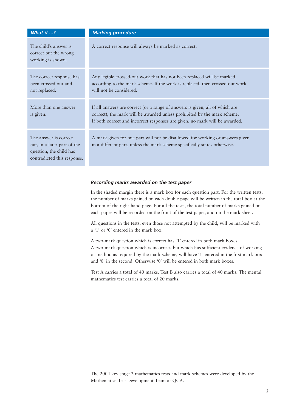| What if ?                                                                                                      | <b>Marking procedure</b>                                                                                                                                                                                                                |
|----------------------------------------------------------------------------------------------------------------|-----------------------------------------------------------------------------------------------------------------------------------------------------------------------------------------------------------------------------------------|
| The child's answer is<br>correct but the wrong<br>working is shown.                                            | A correct response will always be marked as correct.                                                                                                                                                                                    |
| The correct response has<br>been crossed out and<br>not replaced.                                              | Any legible crossed-out work that has not been replaced will be marked<br>according to the mark scheme. If the work is replaced, then crossed-out work<br>will not be considered.                                                       |
| More than one answer<br>is given.                                                                              | If all answers are correct (or a range of answers is given, all of which are<br>correct), the mark will be awarded unless prohibited by the mark scheme.<br>If both correct and incorrect responses are given, no mark will be awarded. |
| The answer is correct<br>but, in a later part of the<br>question, the child has<br>contradicted this response. | A mark given for one part will not be disallowed for working or answers given<br>in a different part, unless the mark scheme specifically states otherwise.                                                                             |

#### *Recording marks awarded on the test paper*

In the shaded margin there is a mark box for each question part. For the written tests, the number of marks gained on each double page will be written in the total box at the bottom of the right-hand page. For all the tests, the total number of marks gained on each paper will be recorded on the front of the test paper, and on the mark sheet.

All questions in the tests, even those not attempted by the child, will be marked with a '1' or '0' entered in the mark box.

A two-mark question which is correct has '1' entered in both mark boxes. A two-mark question which is incorrect, but which has sufficient evidence of working or method as required by the mark scheme, will have '1' entered in the first mark box and '0' in the second. Otherwise '0' will be entered in both mark boxes.

Test A carries a total of 40 marks. Test B also carries a total of 40 marks. The mental mathematics test carries a total of 20 marks.

The 2004 key stage 2 mathematics tests and mark schemes were developed by the Mathematics Test Development Team at QCA.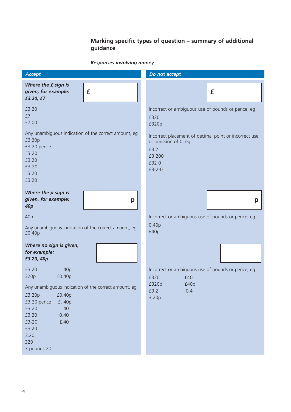## **Marking specific types of question – summary of additional guidance**

## *Responses involving money*

| <b>Accept</b>                                                                                                                                                                             | Do not accept                                                                                                       |
|-------------------------------------------------------------------------------------------------------------------------------------------------------------------------------------------|---------------------------------------------------------------------------------------------------------------------|
| Where the £ sign is<br>£<br>given, for example:<br>£3.20, £7                                                                                                                              | £                                                                                                                   |
| £3.20<br>£7<br>£7.00                                                                                                                                                                      | Incorrect or ambiguous use of pounds or pence, eg<br>£320<br>£320p                                                  |
| Any unambiguous indication of the correct amount, eg<br>£3.20p<br>£3 20 pence<br>£3 20<br>£3,20<br>£3-20<br>£3:20<br>£3.20                                                                | Incorrect placement of decimal point or incorrect use<br>or omission of 0, eg<br>£3.2<br>£3 200<br>£320<br>$£3-2-0$ |
| Where the p sign is<br>given, for example:<br>p<br>40 <sub>p</sub>                                                                                                                        | p                                                                                                                   |
| 40p                                                                                                                                                                                       | Incorrect or ambiguous use of pounds or pence, eg                                                                   |
| Any unambiguous indication of the correct amount, eg<br>£0.40p                                                                                                                            | 0.40 <sub>p</sub><br>£40p                                                                                           |
| Where no sign is given,<br>for example:<br>£3.20, 40p                                                                                                                                     |                                                                                                                     |
| £3.20<br>40p<br>£0.40p<br>320p                                                                                                                                                            | Incorrect or ambiguous use of pounds or pence, eg                                                                   |
| Any unambiguous indication of the correct amount, eg<br>£3.20p<br>£0.40p<br>£3 20 pence<br>£. 40p<br>£3 20<br>40<br>£3,20<br>0.40<br>£.40<br>£3-20<br>£3:20<br>3.20<br>320<br>3 pounds 20 | £320<br>£40<br>£320p<br>£40p<br>0.4<br>£3.2<br>3.20p                                                                |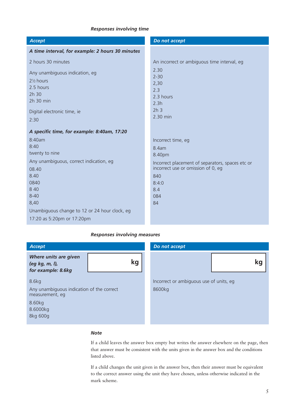#### *Responses involving time*

| <b>Accept</b>                                    | Do not accept                                                                          |
|--------------------------------------------------|----------------------------------------------------------------------------------------|
| A time interval, for example: 2 hours 30 minutes |                                                                                        |
| 2 hours 30 minutes                               | An incorrect or ambiguous time interval, eg<br>2.30                                    |
| Any unambiguous indication, eg                   | $2 - 30$                                                                               |
| 2 <sup>1</sup> / <sub>2</sub> hours              | 2,30                                                                                   |
| 2.5 hours<br>$2h$ 30                             | 2.3                                                                                    |
| 2h 30 min                                        | 2.3 hours<br>2.3h                                                                      |
| Digital electronic time, ie                      | 2h <sub>3</sub>                                                                        |
| 2:30                                             | 2.30 min                                                                               |
|                                                  |                                                                                        |
| A specific time, for example: 8:40am, 17:20      |                                                                                        |
| 8:40am<br>8:40                                   | Incorrect time, eg                                                                     |
| twenty to nine                                   | 8.4am                                                                                  |
|                                                  | 8.40pm                                                                                 |
| Any unambiguous, correct indication, eg<br>08.40 | Incorrect placement of separators, spaces etc or<br>incorrect use or omission of 0, eg |
| 8.40                                             | 840                                                                                    |
| 0840                                             | 8:4:0                                                                                  |
| 8 4 0                                            | 8.4                                                                                    |
| $8 - 40$                                         | 084                                                                                    |
| 8,40                                             | 84                                                                                     |
| Unambiguous change to 12 or 24 hour clock, eg    |                                                                                        |
| 17:20 as 5:20pm or 17:20pm                       |                                                                                        |

#### *Responses involving measures*

| Accept                                                              | Do not accept                                     |  |  |
|---------------------------------------------------------------------|---------------------------------------------------|--|--|
| Where units are given<br>kg<br>(eg kg, m, l),<br>for example: 8.6kg | Kq                                                |  |  |
| 8.6kg<br>Any unambiguous indication of the correct                  | Incorrect or ambiguous use of units, eg<br>8600kg |  |  |
| measurement, eg                                                     |                                                   |  |  |
| 8.60kg                                                              |                                                   |  |  |
| 8.6000kg                                                            |                                                   |  |  |
| 8kg 600g                                                            |                                                   |  |  |

#### *Note*

If a child leaves the answer box empty but writes the answer elsewhere on the page, then that answer must be consistent with the units given in the answer box and the conditions listed above.

If a child changes the unit given in the answer box, then their answer must be equivalent to the correct answer using the unit they have chosen, unless otherwise indicated in the mark scheme.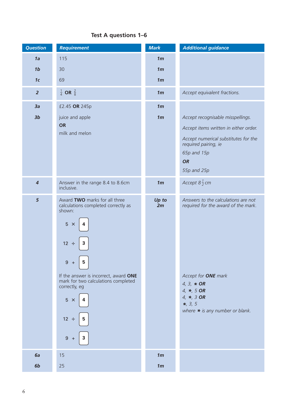## **Test A questions 1–6**

| <b>Question</b>         | <b>Requirement</b>                                                                            | <b>Mark</b>    | <b>Additional guidance</b>                                                 |
|-------------------------|-----------------------------------------------------------------------------------------------|----------------|----------------------------------------------------------------------------|
| 1a                      | 115                                                                                           | 1 <sub>m</sub> |                                                                            |
| 1 <sub>b</sub>          | 30                                                                                            | 1 <sub>m</sub> |                                                                            |
| 1 <sub>c</sub>          | 69                                                                                            | 1 <sub>m</sub> |                                                                            |
| $\overline{2}$          | $\frac{1}{4}$ OR $\frac{2}{8}$                                                                | 1 <sub>m</sub> | Accept equivalent fractions.                                               |
| 3a                      | £2.45 OR 245p                                                                                 | 1 <sub>m</sub> |                                                                            |
| 3 <sub>b</sub>          | juice and apple                                                                               | 1 <sub>m</sub> | Accept recognisable misspellings.                                          |
|                         | <b>OR</b>                                                                                     |                | Accept items written in either order.                                      |
|                         | milk and melon                                                                                |                | Accept numerical substitutes for the                                       |
|                         |                                                                                               |                | required pairing, ie<br>65p and 15p                                        |
|                         |                                                                                               |                | <b>OR</b>                                                                  |
|                         |                                                                                               |                | 55p and 25p                                                                |
| $\overline{\mathbf{4}}$ | Answer in the range 8.4 to 8.6cm<br>inclusive.                                                | 1 <sub>m</sub> | Accept $8\frac{1}{2}$ cm                                                   |
| 5                       | Award TWO marks for all three<br>calculations completed correctly as<br>shown:<br>$5 \times$  | Up to<br>2m    | Answers to the calculations are not<br>required for the award of the mark. |
|                         | $12 \div$<br>3<br>$9 +$<br>5                                                                  |                |                                                                            |
|                         | If the answer is incorrect, award ONE<br>mark for two calculations completed<br>correctly, eg |                | Accept for <b>ONE</b> mark<br>4, 3, $*$ OR<br>4, $*$ , 5 OR                |
|                         | $5 \times$                                                                                    |                | 4, $*$ , 3 OR<br>$*, 3, 5$<br>where $*$ is any number or blank.            |
|                         | $12 \div$<br>5                                                                                |                |                                                                            |
|                         | 9<br>$+$                                                                                      |                |                                                                            |
| 6a                      | 15                                                                                            | 1 <sub>m</sub> |                                                                            |
| 6b                      | 25                                                                                            | 1 <sub>m</sub> |                                                                            |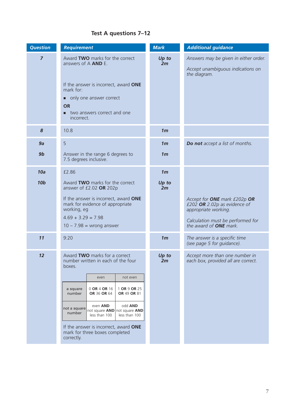## **Test A questions 7–12**

| <b>Question</b> | <b>Requirement</b>                                                                                               | <b>Mark</b>    | <b>Additional guidance</b>                                                                 |
|-----------------|------------------------------------------------------------------------------------------------------------------|----------------|--------------------------------------------------------------------------------------------|
| $\overline{z}$  | Award TWO marks for the correct<br>answers of A AND E.<br>If the answer is incorrect, award ONE<br>mark for:     | Up to<br>2m    | Answers may be given in either order.<br>Accept unambiguous indications on<br>the diagram. |
|                 | • only one answer correct<br><b>OR</b><br>two answers correct and one<br>□<br>incorrect.                         |                |                                                                                            |
| 8               | 10.8                                                                                                             | 1 <sub>m</sub> |                                                                                            |
| 9a              | 5                                                                                                                | 1 <sub>m</sub> | Do not accept a list of months.                                                            |
| 9 <sub>b</sub>  | Answer in the range 6 degrees to<br>7.5 degrees inclusive.                                                       | 1 <sub>m</sub> |                                                                                            |
| 10a             | £2.86                                                                                                            | 1 <sub>m</sub> |                                                                                            |
| <b>10b</b>      | Award TWO marks for the correct<br>answer of £2.02 OR 202p                                                       | Up to<br>2m    |                                                                                            |
|                 | If the answer is incorrect, award ONE<br>mark for evidence of appropriate<br>working, eg<br>$4.69 + 3.29 = 7.98$ |                | Accept for ONE mark £202p OR<br>£202 OR 2.02p as evidence of<br>appropriate working.       |
|                 | $10 - 7.98 =$ wrong answer                                                                                       |                | Calculation must be performed for<br>the award of <b>ONE</b> mark.                         |
| 11              | 9:20                                                                                                             | 1 <sub>m</sub> | The answer is a specific time<br>(see page 5 for guidance).                                |
| 12              | Award TWO marks for a correct<br>number written in each of the four<br>boxes.                                    | Up to<br>2m    | Accept more than one number in<br>each box, provided all are correct.                      |
|                 | even<br>not even                                                                                                 |                |                                                                                            |
|                 | 0 OR 4 OR 16<br>1 OR 9 OR 25<br>a square<br>number<br>OR 36 OR 64<br>OR 49 OR 81                                 |                |                                                                                            |
|                 | odd AND<br>even AND<br>not a square<br>not square AND not square AND<br>number<br>less than 100<br>less than 100 |                |                                                                                            |
|                 | If the answer is incorrect, award ONE<br>mark for three boxes completed<br>correctly.                            |                |                                                                                            |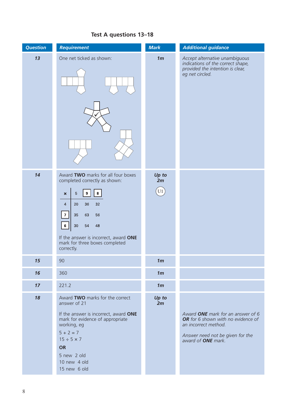#### *Question Requirement Mark Additional guidance 13* One net ticked as shown: *1m Accept alternative unambiguous indications of the correct shape, provided the intention is clear, eg net circled.*  $\bigvee$ 14 Award **TWO** marks for all four boxes *Up to* completed correctly as shown: *2m*  $\sqrt{(1)}$  $\overline{9}$  $\bf{8}$  $\sqrt{5}$  $\overline{\mathbf{x}}$  $\overline{4}$ 20 32 36  $\overline{7}$ 35 63 56  $\boldsymbol{6}$ 30 54 48 If the answer is incorrect, award **ONE** mark for three boxes completed correctly. *15* 90 *1m 16* 360 *1m 17* 221.2 *1m* 18 Award **TWO** marks for the correct *Up to* answer of 21 *2m* If the answer is incorrect, award **ONE** *Award ONE mark for an answer of 6* mark for evidence of appropriate *OR for 6 shown with no evidence of an incorrect method.* working, eg  $5 + 2 = 7$ *Answer need not be given for the*  $15 \div 5 \times 7$ *award of ONE mark.***OR** 5 new 2 old 10 new 4 old 15 new 6 old

#### **Test A questions 13–18**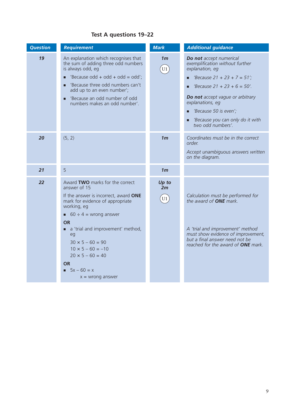## **Test A questions 19–22**

| <b>Question</b> | <b>Requirement</b>                                                                                                                                                                                                                                                                                                                                                           | <b>Mark</b>          | <b>Additional guidance</b>                                                                                                                                                                                                                                                                  |
|-----------------|------------------------------------------------------------------------------------------------------------------------------------------------------------------------------------------------------------------------------------------------------------------------------------------------------------------------------------------------------------------------------|----------------------|---------------------------------------------------------------------------------------------------------------------------------------------------------------------------------------------------------------------------------------------------------------------------------------------|
| 19              | An explanation which recognises that<br>the sum of adding three odd numbers<br>is always odd, eg<br>'Because odd + odd + odd = odd';<br>п<br>'Because three odd numbers can't<br>add up to an even number';<br>'Because an odd number of odd<br>numbers makes an odd number'.                                                                                                | 1 <sub>m</sub><br>U1 | Do not accept numerical<br>exemplification without further<br>explanation, eq<br>'Because $21 + 23 + 7 = 51'$ ;<br>'Because $21 + 23 + 6 = 50'$ .<br>Do not accept vague or arbitrary<br>explanations, eg<br>'Because 50 is even';<br>'Because you can only do it with<br>two odd numbers'. |
| 20              | (5, 2)                                                                                                                                                                                                                                                                                                                                                                       | 1 <sub>m</sub>       | Coordinates must be in the correct<br>order.<br>Accept unambiguous answers written<br>on the diagram.                                                                                                                                                                                       |
| 21              | 5                                                                                                                                                                                                                                                                                                                                                                            | 1 <sub>m</sub>       |                                                                                                                                                                                                                                                                                             |
| 22              | Award TWO marks for the correct<br>answer of 15<br>If the answer is incorrect, award ONE<br>mark for evidence of appropriate<br>working, eg<br>60 $\div$ 4 = wrong answer<br><b>OR</b><br>a 'trial and improvement' method,<br>eg<br>$30 \times 5 - 60 = 90$<br>$10 \times 5 - 60 = -10$<br>$20 \times 5 - 60 = 40$<br><b>OR</b><br>$5x - 60 = x$<br>п<br>$x =$ wrong answer | Up to<br>2m<br>U1    | Calculation must be performed for<br>the award of <b>ONE</b> mark.<br>A 'trial and improvement' method<br>must show evidence of improvement,<br>but a final answer need not be<br>reached for the award of ONE mark.                                                                        |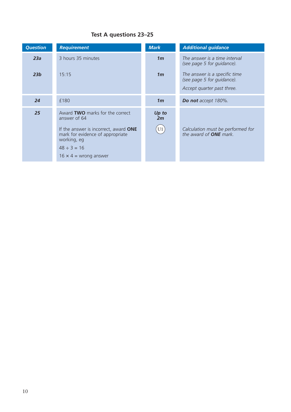## **Test A questions 23–25**

| <b>Question</b> | <b>Requirement</b>                                                                                                                                                                              | <b>Mark</b>       | <b>Additional guidance</b>                                                                |
|-----------------|-------------------------------------------------------------------------------------------------------------------------------------------------------------------------------------------------|-------------------|-------------------------------------------------------------------------------------------|
| 23a             | 3 hours 35 minutes                                                                                                                                                                              | 1 <sub>m</sub>    | The answer is a time interval<br>(see page 5 for guidance).                               |
| 23 <sub>b</sub> | 15:15                                                                                                                                                                                           | 1 <sub>m</sub>    | The answer is a specific time<br>(see page 5 for guidance).<br>Accept quarter past three. |
| 24              | £180                                                                                                                                                                                            | 1 <sub>m</sub>    | Do not accept 180%.                                                                       |
| 25              | Award TWO marks for the correct<br>answer of 64<br>If the answer is incorrect, award ONE<br>mark for evidence of appropriate<br>working, eg<br>$48 \div 3 = 16$<br>$16 \times 4$ = wrong answer | Up to<br>2m<br>U1 | Calculation must be performed for<br>the award of <b>ONE</b> mark.                        |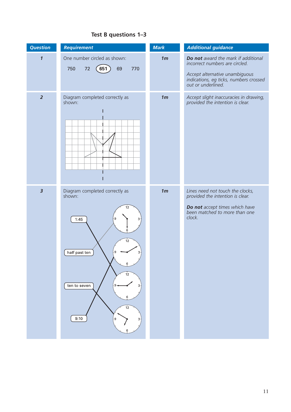#### **Test B questions 1–3**

| <b>Question</b>            | <b>Requirement</b>                                                                                                                                                      | <b>Mark</b>    | <b>Additional guidance</b>                                                                                                                                              |
|----------------------------|-------------------------------------------------------------------------------------------------------------------------------------------------------------------------|----------------|-------------------------------------------------------------------------------------------------------------------------------------------------------------------------|
| $\boldsymbol{\mathcal{I}}$ | One number circled as shown:<br>651<br>69<br>750<br>72<br>770                                                                                                           | 1 <sub>m</sub> | Do not award the mark if additional<br>incorrect numbers are circled.<br>Accept alternative unambiguous<br>indications, eg ticks, numbers crossed<br>out or underlined. |
| $\overline{2}$             | Diagram completed correctly as<br>shown:                                                                                                                                | 1 <sub>m</sub> | Accept slight inaccuracies in drawing,<br>provided the intention is clear.                                                                                              |
| $\overline{\mathbf{3}}$    | Diagram completed correctly as<br>shown:<br>12<br>- 9<br>1:45<br>$3^{\circ}$<br>12<br>half past ten<br>3<br>6<br>12<br>ten to seven<br>6<br>12<br>9:10<br>. 9<br>з<br>6 | 1 <sub>m</sub> | Lines need not touch the clocks,<br>provided the intention is clear.<br>Do not accept times which have<br>been matched to more than one<br>clock.                       |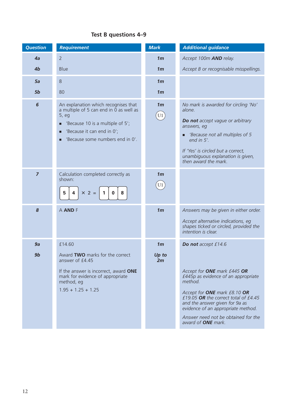## **Test B questions 4–9**

| <b>Question</b> | <b>Requirement</b>                                                                                                                                                                                  | <b>Mark</b>                              | <b>Additional guidance</b>                                                                                                                                                                                                                                                                          |
|-----------------|-----------------------------------------------------------------------------------------------------------------------------------------------------------------------------------------------------|------------------------------------------|-----------------------------------------------------------------------------------------------------------------------------------------------------------------------------------------------------------------------------------------------------------------------------------------------------|
| 4a              | $\overline{2}$                                                                                                                                                                                      | 1 <sub>m</sub>                           | Accept 100m AND relay.                                                                                                                                                                                                                                                                              |
| 4 <sub>b</sub>  | <b>Blue</b>                                                                                                                                                                                         | 1 <sub>m</sub>                           | Accept B or recognisable misspellings.                                                                                                                                                                                                                                                              |
| 5a              | 8                                                                                                                                                                                                   | 1 <sub>m</sub>                           |                                                                                                                                                                                                                                                                                                     |
| 5b              | 80                                                                                                                                                                                                  | 1 <sub>m</sub>                           |                                                                                                                                                                                                                                                                                                     |
| 6               | An explanation which recognises that<br>a multiple of 5 can end in 0 as well as<br>5, eg<br>'Because 10 is a multiple of 5';<br>□<br>'Because it can end in 0';<br>'Because some numbers end in 0'. | 1 <sub>m</sub><br>U <sub>1</sub>         | No mark is awarded for circling 'No'<br>alone.<br><b>Do not</b> accept vague or arbitrary<br>answers, eg<br>'Because not all multiples of 5<br>end in 5'.<br>If 'Yes' is circled but a correct,<br>unambiguous explanation is given,<br>then award the mark.                                        |
| $\overline{7}$  | Calculation completed correctly as<br>shown:<br>$\times$ 2 =<br>$\pmb{0}$<br>8<br>5<br>4<br>1.                                                                                                      | 1 <sub>m</sub><br>$\mathop{\mathrm{U1}}$ |                                                                                                                                                                                                                                                                                                     |
| 8               | A AND F                                                                                                                                                                                             | 1 <sub>m</sub>                           | Answers may be given in either order.<br>Accept alternative indications, eg<br>shapes ticked or circled, provided the<br>intention is clear.                                                                                                                                                        |
| 9a              | £14.60                                                                                                                                                                                              | 1 <sub>m</sub>                           | Do not accept £14.6                                                                                                                                                                                                                                                                                 |
| 9 <sub>b</sub>  | Award TWO marks for the correct<br>answer of £4.45                                                                                                                                                  | Up to<br>2m                              |                                                                                                                                                                                                                                                                                                     |
|                 | If the answer is incorrect, award ONE<br>mark for evidence of appropriate<br>method, eg<br>$1.95 + 1.25 + 1.25$                                                                                     |                                          | Accept for ONE mark £445 OR<br>£445p as evidence of an appropriate<br>method.<br>Accept for ONE mark £8.10 OR<br>£19.05 OR the correct total of $£4.45$<br>and the answer given for 9a as<br>evidence of an appropriate method.<br>Answer need not be obtained for the<br>award of <b>ONE</b> mark. |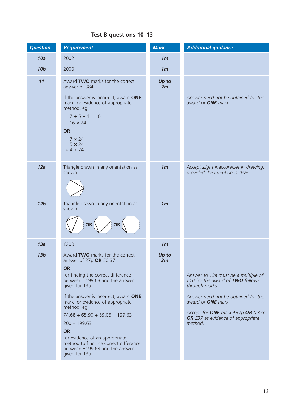### **Test B questions 10–13**

| <b>Question</b>        | <b>Requirement</b>                                                                                                                                                                                                                                                                                                                                                                                                                                            | <b>Mark</b>                      | <b>Additional guidance</b>                                                                                                                                                                                                                         |
|------------------------|---------------------------------------------------------------------------------------------------------------------------------------------------------------------------------------------------------------------------------------------------------------------------------------------------------------------------------------------------------------------------------------------------------------------------------------------------------------|----------------------------------|----------------------------------------------------------------------------------------------------------------------------------------------------------------------------------------------------------------------------------------------------|
| 10a                    | 2002                                                                                                                                                                                                                                                                                                                                                                                                                                                          | 1 <sub>m</sub>                   |                                                                                                                                                                                                                                                    |
| <b>10b</b>             | 2000                                                                                                                                                                                                                                                                                                                                                                                                                                                          | 1 <sub>m</sub>                   |                                                                                                                                                                                                                                                    |
| 11                     | Award TWO marks for the correct<br>answer of 384<br>If the answer is incorrect, award ONE<br>mark for evidence of appropriate<br>method, eg<br>$7 + 5 + 4 = 16$<br>$16 \times 24$<br><b>OR</b><br>$7 \times 24$<br>$5 \times 24$<br>$+4 \times 24$                                                                                                                                                                                                            | Up to<br>2m                      | Answer need not be obtained for the<br>award of <b>ONE</b> mark.                                                                                                                                                                                   |
| 12a<br>12 <sub>b</sub> | Triangle drawn in any orientation as<br>shown:<br>Triangle drawn in any orientation as<br>shown:<br>OR<br>OR                                                                                                                                                                                                                                                                                                                                                  | 1 <sub>m</sub><br>1 <sub>m</sub> | Accept slight inaccuracies in drawing,<br>provided the intention is clear.                                                                                                                                                                         |
| 13a                    | £200                                                                                                                                                                                                                                                                                                                                                                                                                                                          | 1 <sub>m</sub>                   |                                                                                                                                                                                                                                                    |
| 13 <sub>b</sub>        | Award TWO marks for the correct<br>answer of 37p OR £0.37<br><b>OR</b><br>for finding the correct difference<br>between £199.63 and the answer<br>given for 13a.<br>If the answer is incorrect, award ONE<br>mark for evidence of appropriate<br>method, eg<br>$74.68 + 65.90 + 59.05 = 199.63$<br>$200 - 199.63$<br><b>OR</b><br>for evidence of an appropriate<br>method to find the correct difference<br>between £199.63 and the answer<br>given for 13a. | Up to<br>2m                      | Answer to 13a must be a multiple of<br>£10 for the award of TWO follow-<br>through marks.<br>Answer need not be obtained for the<br>award of <b>ONE</b> mark.<br>Accept for ONE mark £37p OR 0.37p<br>OR £37 as evidence of appropriate<br>method. |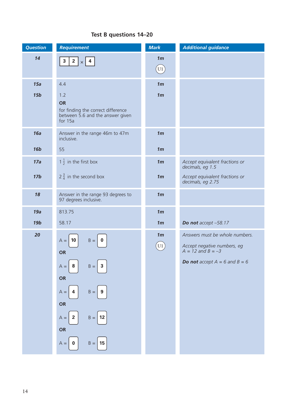### **Test B questions 14–20**

| <b>Question</b> | <b>Requirement</b>                                         | <b>Mark</b>              | <b>Additional guidance</b>                           |
|-----------------|------------------------------------------------------------|--------------------------|------------------------------------------------------|
| 14              | $2 \mid x \mid 4$<br>$\mathbf 3$                           | 1 <sub>m</sub>           |                                                      |
|                 |                                                            | $\left(\text{U1}\right)$ |                                                      |
| 15a             | 4.4                                                        | 1 <sub>m</sub>           |                                                      |
| <b>15b</b>      | 1.2                                                        | 1 <sub>m</sub>           |                                                      |
|                 | <b>OR</b><br>for finding the correct difference            |                          |                                                      |
|                 | between 5.6 and the answer given<br>for 15a                |                          |                                                      |
| 16a             | Answer in the range 46m to 47m<br>inclusive.               | 1 <sub>m</sub>           |                                                      |
| <b>16b</b>      | 55                                                         | 1 <sub>m</sub>           |                                                      |
| 17a             | $1\frac{1}{2}$ in the first box                            | 1 <sub>m</sub>           | Accept equivalent fractions or<br>decimals, eg 1.5   |
| 17 <sub>b</sub> | $2\frac{3}{4}$ in the second box                           | 1 <sub>m</sub>           | Accept equivalent fractions or<br>decimals, eg 2.75  |
| 18              | Answer in the range 93 degrees to<br>97 degrees inclusive. | 1 <sub>m</sub>           |                                                      |
| 19a             | 813.75                                                     | 1 <sub>m</sub>           |                                                      |
| <b>19b</b>      | 58.17                                                      | 1 <sub>m</sub>           | Do not accept -58.17                                 |
| 20              | $A = 10$<br>$B =   0$<br><b>OR</b>                         | 1 <sub>m</sub>           | Answers must be whole numbers.                       |
|                 |                                                            | U1                       | Accept negative numbers, eg<br>$A = 12$ and $B = -3$ |
|                 | $B =   3$<br>$A =$<br>8                                    |                          | <b>Do not</b> accept $A = 6$ and $B = 6$             |
|                 | OR                                                         |                          |                                                      |
|                 | $B =   9$<br>$A =$<br>$\overline{4}$                       |                          |                                                      |
|                 | OR                                                         |                          |                                                      |
|                 | $A =$<br>$B =   12$<br>$\overline{2}$                      |                          |                                                      |
|                 | OR                                                         |                          |                                                      |
|                 | $B =   15$<br>$A =$<br>$\bf{0}$                            |                          |                                                      |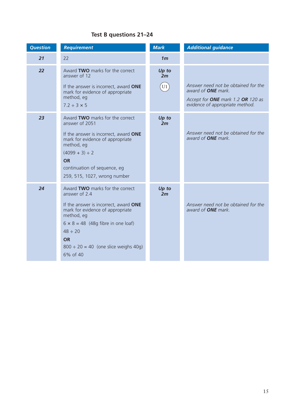## **Test B questions 21–24**

| <b>Question</b> | <b>Requirement</b>                                                                                                                                                                                                                                                             | <b>Mark</b>       | <b>Additional guidance</b>                                                                                                               |
|-----------------|--------------------------------------------------------------------------------------------------------------------------------------------------------------------------------------------------------------------------------------------------------------------------------|-------------------|------------------------------------------------------------------------------------------------------------------------------------------|
| 21              | 22                                                                                                                                                                                                                                                                             | 1 <sub>m</sub>    |                                                                                                                                          |
| 22              | Award TWO marks for the correct<br>answer of 12<br>If the answer is incorrect, award ONE<br>mark for evidence of appropriate<br>method, eg<br>$7.2 \div 3 \times 5$                                                                                                            | Up to<br>2m<br>U1 | Answer need not be obtained for the<br>award of <b>ONE</b> mark.<br>Accept for ONE mark 1.2 OR 120 as<br>evidence of appropriate method. |
| 23              | Award TWO marks for the correct<br>answer of 2051<br>If the answer is incorrect, award ONE<br>mark for evidence of appropriate<br>method, eg<br>$(4099 + 3) \div 2$<br><b>OR</b><br>continuation of sequence, eg<br>259, 515, 1027, wrong number                               | Up to<br>2m       | Answer need not be obtained for the<br>award of <b>ONE</b> mark.                                                                         |
| 24              | Award TWO marks for the correct<br>answer of 2.4<br>If the answer is incorrect, award ONE<br>mark for evidence of appropriate<br>method, eg<br>$6 \times 8 = 48$ (48g fibre in one loaf)<br>$48 \div 20$<br><b>OR</b><br>$800 \div 20 = 40$ (one slice weighs 40g)<br>6% of 40 | Up to<br>2m       | Answer need not be obtained for the<br>award of <b>ONE</b> mark.                                                                         |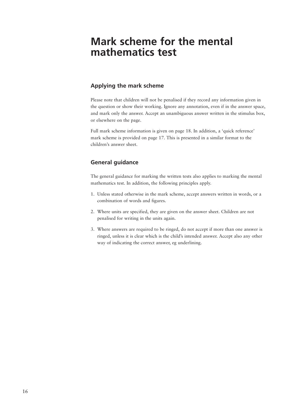## **Mark scheme for the mental mathematics test**

#### **Applying the mark scheme**

Please note that children will not be penalised if they record any information given in the question or show their working. Ignore any annotation, even if in the answer space, and mark only the answer. Accept an unambiguous answer written in the stimulus box, or elsewhere on the page.

Full mark scheme information is given on page 18. In addition, a 'quick reference' mark scheme is provided on page 17. This is presented in a similar format to the children's answer sheet.

#### **General guidance**

The general guidance for marking the written tests also applies to marking the mental mathematics test. In addition, the following principles apply.

- 1. Unless stated otherwise in the mark scheme, accept answers written in words, or a combination of words and figures.
- 2. Where units are specified, they are given on the answer sheet. Children are not penalised for writing in the units again.
- 3. Where answers are required to be ringed, do not accept if more than one answer is ringed, unless it is clear which is the child's intended answer. Accept also any other way of indicating the correct answer, eg underlining.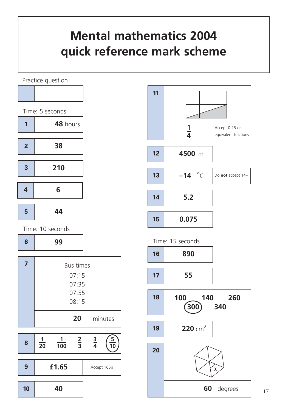# **Mental mathematics 2004 quick reference mark scheme**

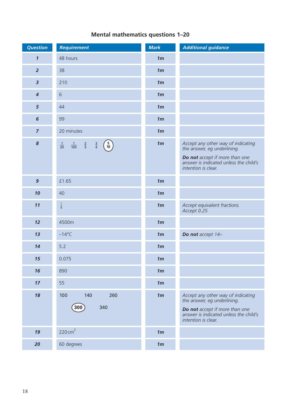## **Mental mathematics questions 1–20**

| <b>Question</b>         | <b>Requirement</b>                                                                              | <b>Mark</b>    | <b>Additional guidance</b>                                                                      |
|-------------------------|-------------------------------------------------------------------------------------------------|----------------|-------------------------------------------------------------------------------------------------|
| $\boldsymbol{1}$        | 48 hours                                                                                        | 1 <sub>m</sub> |                                                                                                 |
| $\overline{2}$          | 38                                                                                              | 1 <sub>m</sub> |                                                                                                 |
| $\overline{\mathbf{3}}$ | 210                                                                                             | 1 <sub>m</sub> |                                                                                                 |
| $\boldsymbol{4}$        | $\sqrt{6}$                                                                                      | 1 <sub>m</sub> |                                                                                                 |
| $5\phantom{.0}$         | 44                                                                                              | 1 <sub>m</sub> |                                                                                                 |
| $\boldsymbol{6}$        | 99                                                                                              | 1 <sub>m</sub> |                                                                                                 |
| $\overline{7}$          | 20 minutes                                                                                      | 1 <sub>m</sub> |                                                                                                 |
| $\pmb{8}$               | $\left(\frac{5}{10}\right)$<br>$\frac{3}{4}$<br>$\frac{1}{100}$ $\frac{2}{3}$<br>$\frac{1}{20}$ | 1 <sub>m</sub> | Accept any other way of indicating<br>the answer, eg underlining.                               |
|                         |                                                                                                 |                | Do not accept if more than one<br>answer is indicated unless the child's<br>intention is clear. |
| $\mathbf{9}$            | £1.65                                                                                           | 1 <sub>m</sub> |                                                                                                 |
| 10                      | 40                                                                                              | 1 <sub>m</sub> |                                                                                                 |
| 11                      | $\frac{1}{4}$                                                                                   | 1 <sub>m</sub> | Accept equivalent fractions.<br>Accept 0.25                                                     |
| 12                      | 4500m                                                                                           | 1 <sub>m</sub> |                                                                                                 |
| 13                      | $-14^{\circ}$ C                                                                                 | 1 <sub>m</sub> | Do not accept 14-                                                                               |
| 14                      | 5.2                                                                                             | 1 <sub>m</sub> |                                                                                                 |
| 15                      | 0.075                                                                                           | 1 <sub>m</sub> |                                                                                                 |
| 16                      | 890                                                                                             | 1 <sub>m</sub> |                                                                                                 |
| 17                      | 55                                                                                              | 1 <sub>m</sub> |                                                                                                 |
| 18                      | 100<br>140<br>260                                                                               | 1 <sub>m</sub> | Accept any other way of indicating<br>the answer, eg underlining.                               |
|                         | 340<br>300                                                                                      |                | Do not accept if more than one<br>answer is indicated unless the child's<br>intention is clear. |
| 19                      | 220 $cm2$                                                                                       | 1 <sub>m</sub> |                                                                                                 |
| 20                      | 60 degrees                                                                                      | 1 <sub>m</sub> |                                                                                                 |